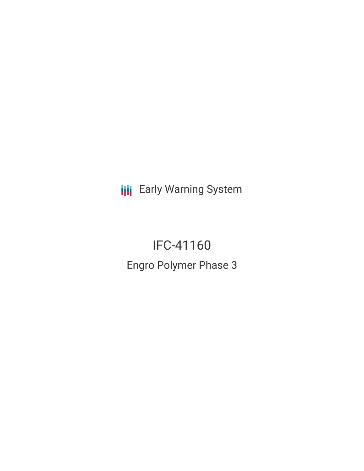**III** Early Warning System

IFC-41160 Engro Polymer Phase 3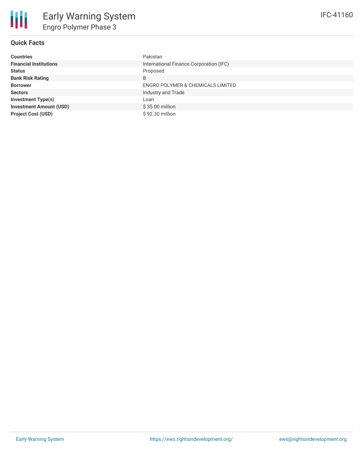

## **Quick Facts**

| <b>Countries</b>               | Pakistan                                |
|--------------------------------|-----------------------------------------|
| <b>Financial Institutions</b>  | International Finance Corporation (IFC) |
| <b>Status</b>                  | Proposed                                |
| <b>Bank Risk Rating</b>        | B                                       |
| <b>Borrower</b>                | ENGRO POLYMER & CHEMICALS LIMITED       |
| <b>Sectors</b>                 | Industry and Trade                      |
| <b>Investment Type(s)</b>      | Loan                                    |
| <b>Investment Amount (USD)</b> | \$35.00 million                         |
| <b>Project Cost (USD)</b>      | \$92.30 million                         |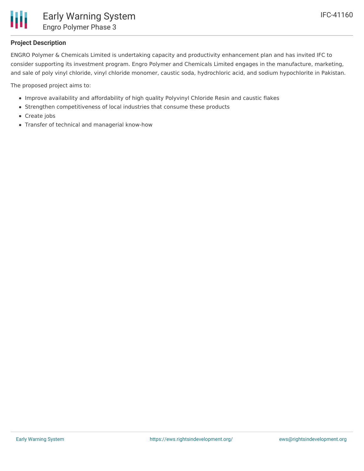

## **Project Description**

ENGRO Polymer & Chemicals Limited is undertaking capacity and productivity enhancement plan and has invited IFC to consider supporting its investment program. Engro Polymer and Chemicals Limited engages in the manufacture, marketing, and sale of poly vinyl chloride, vinyl chloride monomer, caustic soda, hydrochloric acid, and sodium hypochlorite in Pakistan.

The proposed project aims to:

- Improve availability and affordability of high quality Polyvinyl Chloride Resin and caustic flakes
- Strengthen competitiveness of local industries that consume these products
- Create jobs
- Transfer of technical and managerial know-how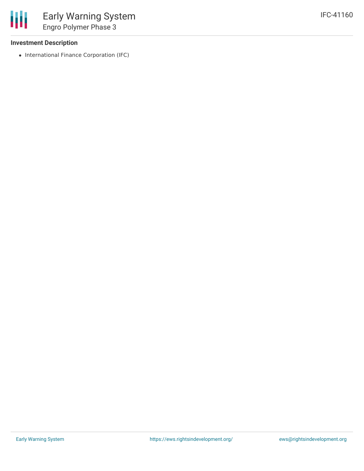### **Investment Description**

冊

• International Finance Corporation (IFC)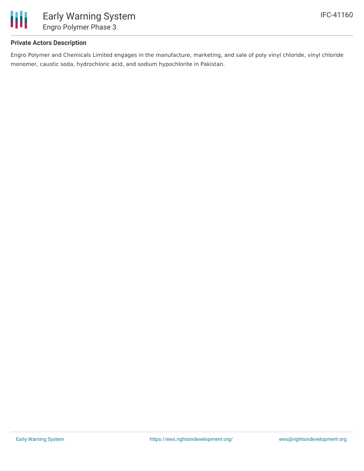

## **Private Actors Description**

Engro Polymer and Chemicals Limited engages in the manufacture, marketing, and sale of poly vinyl chloride, vinyl chloride monomer, caustic soda, hydrochloric acid, and sodium hypochlorite in Pakistan.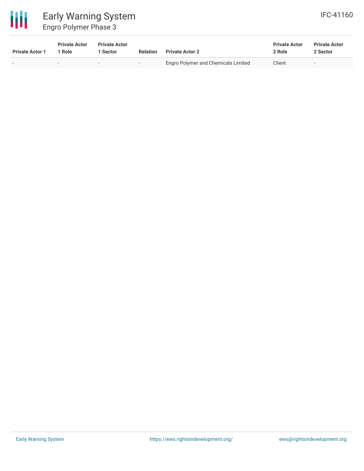

# Early Warning System Engro Polymer Phase 3

| <b>Private Actor 1</b> | <b>Private Actor</b><br>1 Role | <b>Private Actor</b><br>1 Sector | Relation                 | <b>Private Actor 2</b>              | <b>Private Actor</b><br>2 Role | <b>Private Actor</b><br>2 Sector |
|------------------------|--------------------------------|----------------------------------|--------------------------|-------------------------------------|--------------------------------|----------------------------------|
| . .                    |                                |                                  | $\overline{\phantom{0}}$ | Engro Polymer and Chemicals Limited | Client                         | $\overline{\phantom{0}}$         |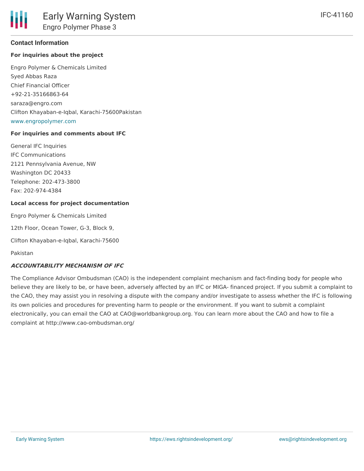#### **Contact Information**

#### **For inquiries about the project**

Engro Polymer & Chemicals Limited Syed Abbas Raza Chief Financial Officer +92-21-35166863-64 saraza@engro.com Clifton Khayaban-e-Iqbal, Karachi-75600Pakistan [www.engropolymer.com](http://www.engropolymer.com)

#### **For inquiries and comments about IFC**

General IFC Inquiries IFC Communications 2121 Pennsylvania Avenue, NW Washington DC 20433 Telephone: 202-473-3800 Fax: 202-974-4384

#### **Local access for project documentation**

Engro Polymer & Chemicals Limited

12th Floor, Ocean Tower, G-3, Block 9,

Clifton Khayaban-e-Iqbal, Karachi-75600

Pakistan

#### **ACCOUNTABILITY MECHANISM OF IFC**

The Compliance Advisor Ombudsman (CAO) is the independent complaint mechanism and fact-finding body for people who believe they are likely to be, or have been, adversely affected by an IFC or MIGA- financed project. If you submit a complaint to the CAO, they may assist you in resolving a dispute with the company and/or investigate to assess whether the IFC is following its own policies and procedures for preventing harm to people or the environment. If you want to submit a complaint electronically, you can email the CAO at CAO@worldbankgroup.org. You can learn more about the CAO and how to file a complaint at http://www.cao-ombudsman.org/